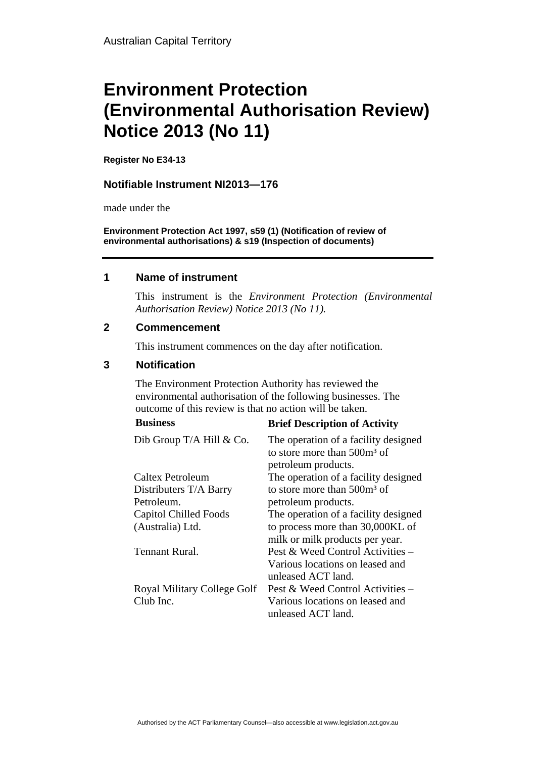# **Environment Protection (Environmental Authorisation Review) Notice 2013 (No 11)**

**Register No E34-13**

#### **Notifiable Instrument NI2013—176**

made under the

**Environment Protection Act 1997, s59 (1) (Notification of review of environmental authorisations) & s19 (Inspection of documents)**

#### **1 Name of instrument**

This instrument is the *Environment Protection (Environmental Authorisation Review) Notice 2013 (No 11).* 

#### **2 Commencement**

This instrument commences on the day after notification.

### **3 Notification**

The Environment Protection Authority has reviewed the environmental authorisation of the following businesses. The outcome of this review is that no action will be taken.

## **Business Brief Description of Activity**

| Dib Group T/A Hill & Co.     | The operation of a facility designed<br>to store more than $500m^3$ of<br>petroleum products. |
|------------------------------|-----------------------------------------------------------------------------------------------|
| Caltex Petroleum             | The operation of a facility designed                                                          |
| Distributers T/A Barry       | to store more than $500m^3$ of                                                                |
| Petroleum.                   | petroleum products.                                                                           |
| <b>Capitol Chilled Foods</b> | The operation of a facility designed                                                          |
| (Australia) Ltd.             | to process more than 30,000KL of                                                              |
|                              | milk or milk products per year.                                                               |
| <b>Tennant Rural.</b>        | Pest & Weed Control Activities –                                                              |
|                              | Various locations on leased and                                                               |
|                              | unleased ACT land.                                                                            |
| Royal Military College Golf  | Pest & Weed Control Activities –                                                              |
| Club Inc.                    | Various locations on leased and                                                               |
|                              | unleased ACT land.                                                                            |